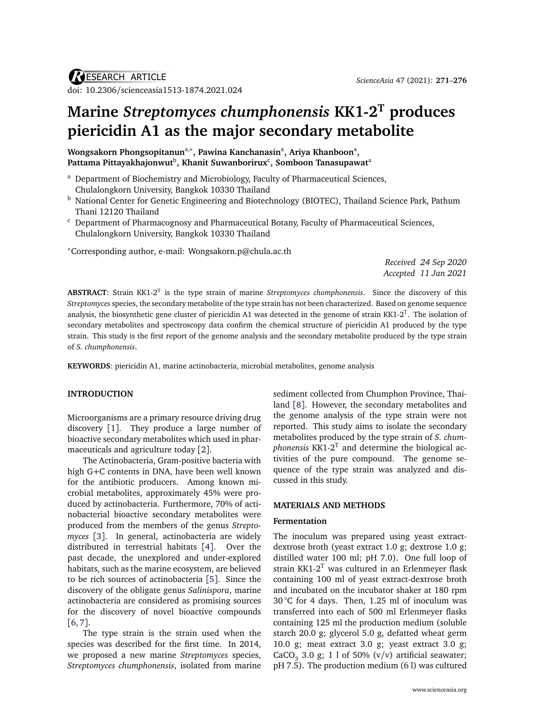# **Marine** *Streptomyces chumphonensis* **KK1-2<sup>T</sup> produces piericidin A1 as the major secondary metabolite**

**Wongsakorn Phongsopitanunª,\*, Pawina Kanchanasinª, Ariya Khanboon<sup>a</sup>,** Pattama Pittayakhajonwut<sup>b</sup>, Khanit Suwanborirux<sup>c</sup>, Somboon Tanasupawat<sup>a</sup>

- <sup>a</sup> Department of Biochemistry and Microbiology, Faculty of Pharmaceutical Sciences, Chulalongkorn University, Bangkok 10330 Thailand
- <sup>b</sup> National Center for Genetic Engineering and Biotechnology (BIOTEC), Thailand Science Park, Pathum Thani 12120 Thailand
- <sup>c</sup> Department of Pharmacognosy and Pharmaceutical Botany, Faculty of Pharmaceutical Sciences, Chulalongkorn University, Bangkok 10330 Thailand

<sup>∗</sup>Corresponding author, e-mail: [Wongsakorn.p@chula.ac.th](mailto:Wongsakorn.p@chula.ac.th)

*Received 24 Sep 2020 Accepted 11 Jan 2021*

**ABSTRACT**: Strain KK1-2<sup>T</sup> is the type strain of marine *Streptomyces chomphonensis*. Since the discovery of this *Streptomyces* species, the secondary metabolite of the type strain has not been characterized. Based on genome sequence analysis, the biosynthetic gene cluster of piericidin A1 was detected in the genome of strain KK1-2<sup>T</sup>. The isolation of secondary metabolites and spectroscopy data confirm the chemical structure of piericidin A1 produced by the type strain. This study is the first report of the genome analysis and the secondary metabolite produced by the type strain of *S. chumphonensis*.

**KEYWORDS**: piericidin A1, marine actinobacteria, microbial metabolites, genome analysis

## **INTRODUCTION**

Microorganisms are a primary resource driving drug discovery [[1](#page-4-0)]. They produce a large number of bioactive secondary metabolites which used in pharmaceuticals and agriculture today [[2](#page-4-1)].

The Actinobacteria, Gram-positive bacteria with high G+C contents in DNA, have been well known for the antibiotic producers. Among known microbial metabolites, approximately 45% were produced by actinobacteria. Furthermore, 70% of actinobacterial bioactive secondary metabolites were produced from the members of the genus *Streptomyces* [[3](#page-4-2)]. In general, actinobacteria are widely distributed in terrestrial habitats [[4](#page-5-0)]. Over the past decade, the unexplored and under-explored habitats, such as the marine ecosystem, are believed to be rich sources of actinobacteria [[5](#page-5-1)]. Since the discovery of the obligate genus *Salinispora*, marine actinobacteria are considered as promising sources for the discovery of novel bioactive compounds [[6,](#page-5-2) [7](#page-5-3)].

The type strain is the strain used when the species was described for the first time. In 2014, we proposed a new marine *Streptomyces* species, *Streptomyces chumphonensis*, isolated from marine sediment collected from Chumphon Province, Thailand [[8](#page-5-4)]. However, the secondary metabolites and the genome analysis of the type strain were not reported. This study aims to isolate the secondary metabolites produced by the type strain of *S. chum* $phonensis$  KK1-2 $^{\rm T}$  and determine the biological activities of the pure compound. The genome sequence of the type strain was analyzed and discussed in this study.

## **MATERIALS AND METHODS**

#### **Fermentation**

The inoculum was prepared using yeast extractdextrose broth (yeast extract 1.0 g; dextrose 1.0 g; distilled water 100 ml; pH 7.0). One full loop of strain KK1- $2<sup>T</sup>$  was cultured in an Erlenmeyer flask containing 100 ml of yeast extract-dextrose broth and incubated on the incubator shaker at 180 rpm 30 °C for 4 days. Then, 1.25 ml of inoculum was transferred into each of 500 ml Erlenmeyer flasks containing 125 ml the production medium (soluble starch 20.0 g; glycerol 5.0 g, defatted wheat germ 10.0 g; meat extract 3.0 g; yeast extract 3.0 g; CaCO $_3$  3.0 g; 1 l of 50% (v/v) artificial seawater; pH 7.5). The production medium (6 l) was cultured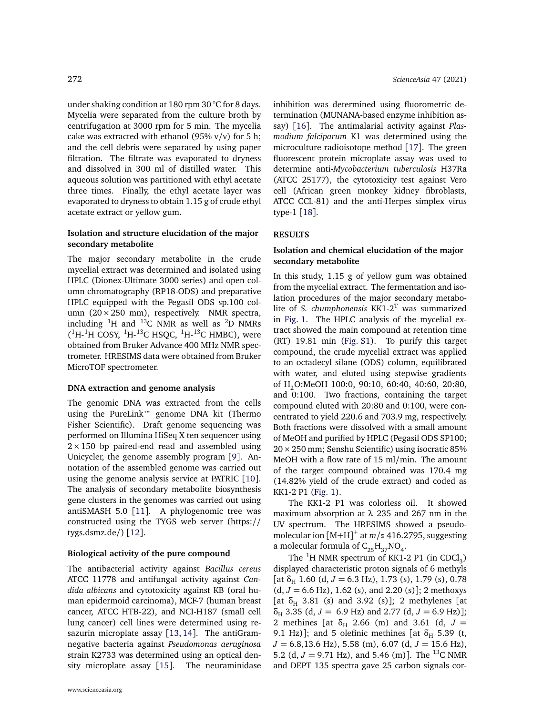under shaking condition at 180 rpm 30 °C for 8 days. Mycelia were separated from the culture broth by centrifugation at 3000 rpm for 5 min. The mycelia cake was extracted with ethanol (95% v/v) for 5 h; and the cell debris were separated by using paper filtration. The filtrate was evaporated to dryness and dissolved in 300 ml of distilled water. This aqueous solution was partitioned with ethyl acetate three times. Finally, the ethyl acetate layer was evaporated to dryness to obtain 1.15 g of crude ethyl acetate extract or yellow gum.

## **Isolation and structure elucidation of the major secondary metabolite**

The major secondary metabolite in the crude mycelial extract was determined and isolated using HPLC (Dionex-Ultimate 3000 series) and open column chromatography (RP18-ODS) and preparative HPLC equipped with the Pegasil ODS sp.100 column (20×250 mm), respectively. NMR spectra, including  ${}^{1}$ H and  ${}^{13}$ C NMR as well as  ${}^{2}$ D NMRs  $(^{1}H-^{1}H$  COSY,  $^{1}H-^{13}C$  HSQC,  $^{1}H-^{13}C$  HMBC), were obtained from Bruker Advance 400 MHz NMR spectrometer. HRESIMS data were obtained from Bruker MicroTOF spectrometer.

#### **DNA extraction and genome analysis**

The genomic DNA was extracted from the cells using the PureLink™ genome DNA kit (Thermo Fisher Scientific). Draft genome sequencing was performed on Illumina HiSeq X ten sequencer using  $2 \times 150$  bp paired-end read and assembled using Unicycler, the genome assembly program [[9](#page-5-5)]. Annotation of the assembled genome was carried out using the genome analysis service at PATRIC [[10](#page-5-6)]. The analysis of secondary metabolite biosynthesis gene clusters in the genomes was carried out using antiSMASH 5.0 [[11](#page-5-7)]. A phylogenomic tree was constructed using the TYGS web server [\(https:](https://tygs.dsmz.de/)// [tygs.dsmz.de](https://tygs.dsmz.de/)/) [[12](#page-5-8)].

#### **Biological activity of the pure compound**

The antibacterial activity against *Bacillus cereus* ATCC 11778 and antifungal activity against *Candida albicans* and cytotoxicity against KB (oral human epidermoid carcinoma), MCF-7 (human breast cancer, ATCC HTB-22), and NCI-H187 (small cell lung cancer) cell lines were determined using resazurin microplate assay [[13,](#page-5-9) [14](#page-5-10)]. The antiGramnegative bacteria against *Pseudomonas aeruginosa* strain K2733 was determined using an optical density microplate assay [[15](#page-5-11)]. The neuraminidase inhibition was determined using fluorometric determination (MUNANA-based enzyme inhibition assay) [[16](#page-5-12)]. The antimalarial activity against *Plasmodium falciparum* K1 was determined using the microculture radioisotope method [[17](#page-5-13)]. The green fluorescent protein microplate assay was used to determine anti-*Mycobacterium tuberculosis* H37Ra (ATCC 25177), the cytotoxicity test against Vero cell (African green monkey kidney fibroblasts, ATCC CCL-81) and the anti-Herpes simplex virus type-1 [[18](#page-5-14)].

#### **RESULTS**

## **Isolation and chemical elucidation of the major secondary metabolite**

In this study, 1.15 g of yellow gum was obtained from the mycelial extract. The fermentation and isolation procedures of the major secondary metabolite of *S. chumphonensis* KK1-2<sup>T</sup> was summarized in [Fig. 1.](#page-2-0) The HPLC analysis of the mycelial extract showed the main compound at retention time (RT) 19.81 min [\(Fig. S1\)](#page-6-0). To purify this target compound, the crude mycelial extract was applied to an octadecyl silane (ODS) column, equilibrated with water, and eluted using stepwise gradients of H2O:MeOH 100:0, 90:10, 60:40, 40:60, 20:80, and 0:100. Two fractions, containing the target compound eluted with 20:80 and 0:100, were concentrated to yield 220.6 and 703.9 mg, respectively. Both fractions were dissolved with a small amount of MeOH and purified by HPLC (Pegasil ODS SP100;  $20 \times 250$  mm; Senshu Scientific) using isocratic 85% MeOH with a flow rate of 15 ml/min. The amount of the target compound obtained was 170.4 mg (14.82% yield of the crude extract) and coded as KK1-2 P1 [\(Fig. 1\)](#page-2-0).

The KK1-2 P1 was colorless oil. It showed maximum absorption at *λ* 235 and 267 nm in the UV spectrum. The HRESIMS showed a pseudomolecular ion [M+H] + at *m/z* 416.2795, suggesting a molecular formula of  $\text{C}_{25}\text{H}_{37}\text{NO}_4$ .

The <sup>1</sup>H NMR spectrum of KK1-2 P1 (in CDCl<sub>3</sub>) displayed characteristic proton signals of 6 methyls [at  $\delta_H$  1.60 (d,  $J = 6.3$  Hz), 1.73 (s), 1.79 (s), 0.78  $(d, J = 6.6 \text{ Hz})$ , 1.62 (s), and 2.20 (s)]; 2 methoxys [at  $\delta_H$  3.81 (s) and 3.92 (s)]; 2 methylenes [at *δ*<sup>H</sup> 3.35 (d, *J* = 6.9 Hz) and 2.77 (d, *J* = 6.9 Hz)]; 2 methines [at  $\delta_H$  2.66 (m) and 3.61 (d,  $J =$ 9.1 Hz)]; and 5 olefinic methines [at  $\delta_H$  5.39 (t, *J* = 6.8,13.6 Hz), 5.58 (m), 6.07 (d, *J* = 15.6 Hz), 5.2 (d,  $J = 9.71$  Hz), and 5.46 (m)]. The <sup>13</sup>C NMR and DEPT 135 spectra gave 25 carbon signals cor-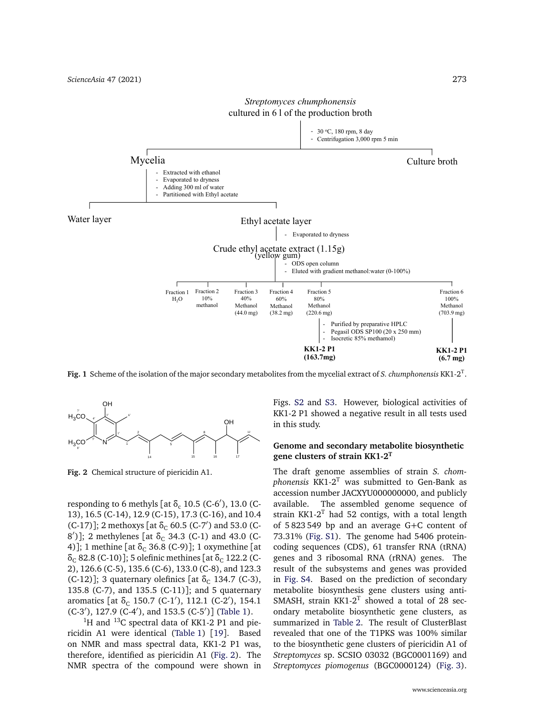<span id="page-2-0"></span>

*Streptomyces chumphonensis*

**Fig. 1** Scheme of the isolation of the major secondary metabolites from the mycelial extract of *S. chumphonensis* KK1-2<sup>T</sup> .

<span id="page-2-1"></span>

**Fig. 2** Chemical structure of piericidin A1.

responding to 6 methyls [at  $\delta_c$  10.5 (C-6<sup>'</sup>), 13.0 (C-13), 16.5 (C-14), 12.9 (C-15), 17.3 (C-16), and 10.4 (C-17)]; 2 methoxys [at δ<sub>C</sub> 60.5 (C-7<sup>'</sup>) and 53.0 (C-8<sup>'</sup>)]; 2 methylenes [at δ<sub>C</sub> 34.3 (C-1) and 43.0 (C-4)]; 1 methine [at  $\delta_c$  36.8 (C-9)]; 1 oxymethine [at *δ*<sub>C</sub> 82.8 (C-10)]; 5 olefinic methines [at δ<sub>C</sub> 122.2 (C-2), 126.6 (C-5), 135.6 (C-6), 133.0 (C-8), and 123.3 (C-12)]; 3 quaternary olefinics [at δ<sub>C</sub> 134.7 (C-3), 135.8 (C-7), and 135.5 (C-11)]; and 5 quaternary aromatics [at  $\delta_c$  150.7 (C-1<sup>'</sup>), 112.1 (C-2<sup>'</sup>), 154.1 (C-3'), 127.9 (C-4'), and 153.5 (C-5')] [\(Table 1\)](#page-3-0).

 $1$ <sup>1</sup>H and  $13$ C spectral data of KK1-2 P1 and piericidin A1 were identical [\(Table 1\)](#page-3-0) [[19](#page-5-15)]. Based on NMR and mass spectral data, KK1-2 P1 was, therefore, identified as piericidin A1 [\(Fig. 2\)](#page-2-1). The NMR spectra of the compound were shown in Figs. [S2](#page-7-0) and [S3.](#page-7-1) However, biological activities of KK1-2 P1 showed a negative result in all tests used in this study.

## **Genome and secondary metabolite biosynthetic gene clusters of strain KK1-2<sup>T</sup>**

The draft genome assemblies of strain *S. chomphonensis* KK1-2<sup>T</sup> was submitted to Gen-Bank as accession number JACXYU000000000, and publicly available. The assembled genome sequence of strain KK1-2 $^T$  had 52 contigs, with a total length of 5 823 549 bp and an average G+C content of 73.31% [\(Fig. S1\)](#page-6-0). The genome had 5406 proteincoding sequences (CDS), 61 transfer RNA (tRNA) genes and 3 ribosomal RNA (rRNA) genes. The result of the subsystems and genes was provided in [Fig. S4.](#page-8-0) Based on the prediction of secondary metabolite biosynthesis gene clusters using anti-SMASH, strain KK1-2 $^T$  showed a total of 28 secondary metabolite biosynthetic gene clusters, as summarized in [Table 2.](#page-3-1) The result of ClusterBlast revealed that one of the T1PKS was 100% similar to the biosynthetic gene clusters of piericidin A1 of *Streptomyces* sp. SCSIO 03032 (BGC0001169) and *Streptomyces piomogenus* (BGC0000124) [\(Fig. 3\)](#page-4-3).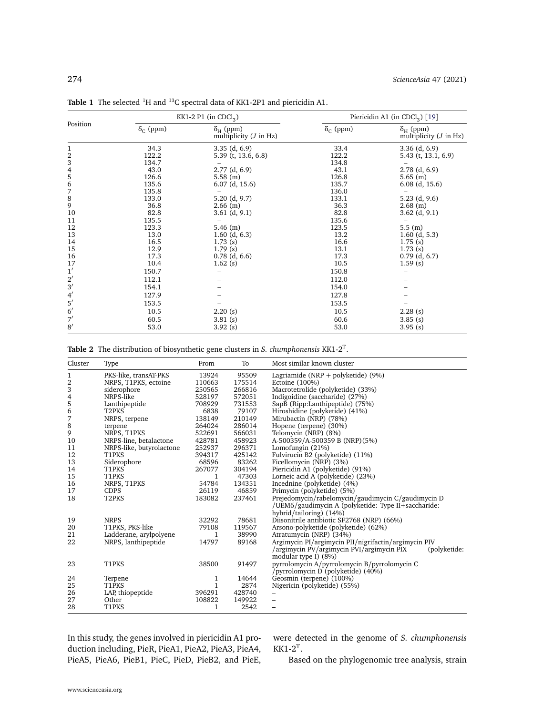|                                            |                        | KK1-2 P1 (in CDCl <sub>3</sub> )                   | Piericidin A1 (in CDCl <sub>2</sub> ) [19] |                                                |  |
|--------------------------------------------|------------------------|----------------------------------------------------|--------------------------------------------|------------------------------------------------|--|
| Position                                   | $\delta_{\rm C}$ (ppm) | $\delta_{\rm H}$ (ppm)<br>multiplicity $(J$ in Hz) | $\delta_{\rm C}$ (ppm)                     | $\delta_{H}$ (ppm)<br>multiplicity $(J$ in Hz) |  |
| $\mathbf{1}$                               | 34.3                   | $3.35$ (d, $6.9$ )                                 | 33.4                                       | $3.36$ (d, 6.9)                                |  |
| $\overline{\mathbf{c}}$                    | 122.2                  | 5.39 (t, 13.6, 6.8)                                | 122.2                                      | $5.43$ (t, 13.1, 6.9)                          |  |
|                                            | 134.7                  |                                                    | 134.8                                      |                                                |  |
| $\begin{array}{c} 3 \\ 4 \\ 5 \end{array}$ | 43.0                   | $2.77$ (d, 6.9)                                    | 43.1                                       | $2.78$ (d, 6.9)                                |  |
|                                            | 126.6                  | 5.58(m)                                            | 126.8                                      | $5.65$ (m)                                     |  |
|                                            | 135.6                  | $6.07$ (d, 15.6)                                   | 135.7                                      | $6.08$ (d, 15.6)                               |  |
| 6789                                       | 135.8                  |                                                    | 136.0                                      |                                                |  |
|                                            | 133.0                  | $5.20$ (d, 9.7)                                    | 133.1                                      | $5.23$ (d, 9.6)                                |  |
|                                            | 36.8                   | $2.66$ (m)                                         | 36.3                                       | $2.68$ (m)                                     |  |
| 10                                         | 82.8                   | $3.61$ (d, 9.1)                                    | 82.8                                       | $3.62$ (d, 9.1)                                |  |
| 11                                         | 135.5                  |                                                    | 135.6                                      |                                                |  |
| 12                                         | 123.3                  | $5.46$ (m)                                         | 123.5                                      | 5.5(m)                                         |  |
| 13                                         | 13.0                   | $1.60$ (d, 6.3)                                    | 13.2                                       | $1.60$ (d, 5.3)                                |  |
| 14                                         | 16.5                   | 1.73(s)                                            | 16.6                                       | 1.75(s)                                        |  |
| 15                                         | 12.9                   | 1.79(s)                                            | 13.1                                       | 1.73(s)                                        |  |
| 16                                         | 17.3                   | $0.78$ (d, 6.6)                                    | 17.3                                       | $0.79$ (d, 6.7)                                |  |
| 17                                         | 10.4                   | 1.62(s)                                            | 10.5                                       | 1.59(s)                                        |  |
| 1'                                         | 150.7                  |                                                    | 150.8                                      |                                                |  |
| $2^{\prime}$                               | 112.1                  |                                                    | 112.0                                      |                                                |  |
| 3'                                         | 154.1                  |                                                    | 154.0                                      |                                                |  |
|                                            | 127.9                  |                                                    | 127.8                                      |                                                |  |
| $\frac{4}{5}$                              | 153.5                  |                                                    | 153.5                                      |                                                |  |
| $6^{\prime}$                               | 10.5                   | 2.20(s)                                            | 10.5                                       | $2.28$ (s)                                     |  |
| 7'                                         | 60.5                   | 3.81(s)                                            | 60.6                                       | 3.85(s)                                        |  |
| 8'                                         | 53.0                   | 3.92(s)                                            | 53.0                                       | 3.95(s)                                        |  |

<span id="page-3-0"></span>Table 1 The selected <sup>1</sup>H and <sup>13</sup>C spectral data of KK1-2P1 and piericidin A1.

<span id="page-3-1"></span>**Table 2** The distribution of biosynthetic gene clusters in *S. chumphonensis* KK1-2<sup>T</sup> .

| Cluster  | Type                     | From         | To              | Most similar known cluster                                                                                        |
|----------|--------------------------|--------------|-----------------|-------------------------------------------------------------------------------------------------------------------|
| 1        | PKS-like, transAT-PKS    | 13924        | 95509           | Lagriamide ( $NRP + polyketide$ ) (9%)                                                                            |
| 2        | NRPS, T1PKS, ectoine     | 110663       | 175514          | Ectoine (100%)                                                                                                    |
| 3        | siderophore              | 250565       | 266816          | Macrotetrolide (polyketide) (33%)                                                                                 |
| 4        | NRPS-like                | 528197       | 572051          | Indigoidine (saccharide) (27%)                                                                                    |
| 5        | Lanthipeptide            | 708929       | 731553          | SapB (Ripp:Lanthipeptide) (75%)                                                                                   |
| 6        | T <sub>2</sub> PKS       | 6838         | 79107           | Hiroshidine (polyketide) (41%)                                                                                    |
| 7        | NRPS, terpene            | 138149       | 210149          | Mirubactin (NRP) (78%)                                                                                            |
| 8        | terpene                  | 264024       | 286014          | Hopene (terpene) (30%)                                                                                            |
| 9        | NRPS, T1PKS              | 522691       | 566031          | Telomycin (NRP) (8%)                                                                                              |
| 10       | NRPS-line, betalactone   | 428781       | 458923          | A-500359/A-500359 B (NRP)(5%)                                                                                     |
| 11       | NRPS-like, butyrolactone | 252937       | 296371          | Lomofungin (21%)                                                                                                  |
| 12       | T1PKS                    | 394317       | 425142          | Fulvirucin B2 (polyketide) (11%)                                                                                  |
| 13       | Siderophore              | 68596        | 83262           | Ficellomycin (NRP) (3%)                                                                                           |
| 14       | T1PKS                    | 267077       | 304194          | Piericidin A1 (polyketide) (91%)                                                                                  |
| 15       | T1PKS                    | $\mathbf{1}$ | 47303           | Lorneic acid A (polyketide) (23%)                                                                                 |
| 16       | NRPS, T1PKS              | 54784        | 134351          | Incednine (polyketide) (4%)                                                                                       |
| 17       | <b>CDPS</b>              | 26119        | 46859           | Primycin (polyketide) (5%)                                                                                        |
| 18       | T <sub>2</sub> PKS       | 183082       | 237461          | Prejedomycin/rabelomycin/gaudimycin C/gaudimycin D                                                                |
|          |                          |              |                 | /UEM6/gaudimycin A (polyketide: Type II+saccharide:                                                               |
| 19       | <b>NRPS</b>              | 32292        | 78681           | hybrid/tailoring) (14%)<br>Diisonitrile antibiotic SF2768 (NRP) (66%)                                             |
|          |                          |              |                 |                                                                                                                   |
| 20<br>21 | T1PKS, PKS-like          | 79108        | 119567<br>38990 | Arsono-polyketide (polyketide) (62%)                                                                              |
| 22       | Ladderane, arylpolyene   | 1            |                 | Atratumycin (NRP) (34%)                                                                                           |
|          | NRPS, lanthipeptide      | 14797        | 89168           | Argimycin PI/argimycin PII/nigrifactin/argimycin PIV<br>/argimycin PV/argimycin PVI/argimycin PIX<br>(polyketide: |
|          |                          |              |                 | modular type I) (8%)                                                                                              |
| 23       | T1PKS                    | 38500        | 91497           | pyrrolomycin A/pyrrolomycin B/pyrrolomycin C                                                                      |
|          |                          |              |                 | /pyrrolomycin D (polyketide) (40%)                                                                                |
| 24       | Terpene                  | 1            | 14644           | Geosmin (terpene) (100%)                                                                                          |
| 25       | T1PKS                    | 1            | 2874            | Nigericin (polyketide) (55%)                                                                                      |
| 26       | LAP, thiopeptide         | 396291       | 428740          |                                                                                                                   |
| 27       | Other                    | 108822       | 149922          |                                                                                                                   |
| 28       | T1PKS                    | 1            | 2542            | -                                                                                                                 |

In this study, the genes involved in piericidin A1 production including, PieR, PieA1, PieA2, PieA3, PieA4, PieA5, PieA6, PieB1, PieC, PieD, PieB2, and PieE, were detected in the genome of *S. chumphonensis*  $KK1-2<sup>T</sup>$ .

Based on the phylogenomic tree analysis, strain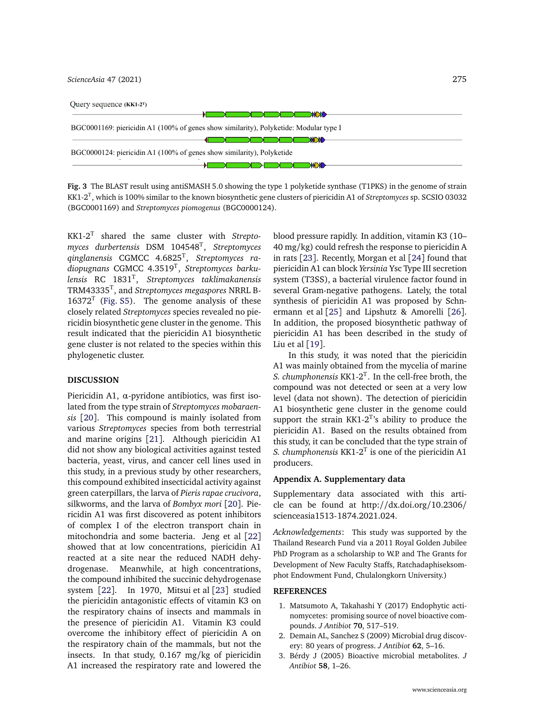*[ScienceAsia](http://www.scienceasia.org/)* 47 (2021) 275

<span id="page-4-3"></span>

| Query sequence $(KK1-2^T)$                                                            |
|---------------------------------------------------------------------------------------|
|                                                                                       |
| BGC0001169: piericidin A1 (100% of genes show similarity), Polyketide: Modular type I |
|                                                                                       |
| BGC0000124: piericidin A1 (100% of genes show similarity), Polyketide                 |
|                                                                                       |

**Fig. 3** The BLAST result using antiSMASH 5.0 showing the type 1 polyketide synthase (T1PKS) in the genome of strain KK1-2<sup>T</sup> , which is 100% similar to the known biosynthetic gene clusters of piericidin A1 of *Streptomyces* sp. SCSIO 03032 (BGC0001169) and *Streptomyces piomogenus* (BGC0000124).

KK1-2<sup>T</sup> shared the same cluster with *Streptomyces durbertensis* DSM 104548<sup>T</sup> , *Streptomyces qinglanensis* CGMCC 4.6825<sup>T</sup> , *Streptomyces radiopugnans* CGMCC 4.3519<sup>T</sup> , *Streptomyces barkulensis* RC 1831<sup>T</sup> , *Streptomyces taklimakanensis* TRM43335<sup>T</sup> , and *Streptomyces megaspores* NRRL B- $16372<sup>T</sup>$  [\(Fig. S5\)](#page-8-1). The genome analysis of these closely related *Streptomyces* species revealed no piericidin biosynthetic gene cluster in the genome. This result indicated that the piericidin A1 biosynthetic gene cluster is not related to the species within this phylogenetic cluster.

## **DISCUSSION**

Piericidin A1, *α*-pyridone antibiotics, was first isolated from the type strain of *Streptomyces mobaraensis* [[20](#page-5-16)]. This compound is mainly isolated from various *Streptomyces* species from both terrestrial and marine origins [[21](#page-5-17)]. Although piericidin A1 did not show any biological activities against tested bacteria, yeast, virus, and cancer cell lines used in this study, in a previous study by other researchers, this compound exhibited insecticidal activity against green caterpillars, the larva of *Pieris rapae crucivora*, silkworms, and the larva of *Bombyx mori* [[20](#page-5-16)]. Piericidin A1 was first discovered as potent inhibitors of complex I of the electron transport chain in mitochondria and some bacteria. Jeng et al [[22](#page-5-18)] showed that at low concentrations, piericidin A1 reacted at a site near the reduced NADH dehydrogenase. Meanwhile, at high concentrations, the compound inhibited the succinic dehydrogenase system [[22](#page-5-18)]. In 1970, Mitsui et al [[23](#page-5-19)] studied the piericidin antagonistic effects of vitamin K3 on the respiratory chains of insects and mammals in the presence of piericidin A1. Vitamin K3 could overcome the inhibitory effect of piericidin A on the respiratory chain of the mammals, but not the insects. In that study, 0.167 mg/kg of piericidin A1 increased the respiratory rate and lowered the

blood pressure rapidly. In addition, vitamin K3 (10– 40 mg/kg) could refresh the response to piericidin A in rats [[23](#page-5-19)]. Recently, Morgan et al [[24](#page-5-20)] found that piericidin A1 can block *Yersinia* Ysc Type III secretion system (T3SS), a bacterial virulence factor found in several Gram-negative pathogens. Lately, the total synthesis of piericidin A1 was proposed by Schnermann et al [[25](#page-5-21)] and Lipshutz & Amorelli [[26](#page-5-22)]. In addition, the proposed biosynthetic pathway of piericidin A1 has been described in the study of Liu et al  $[19]$  $[19]$  $[19]$ .

In this study, it was noted that the piericidin A1 was mainly obtained from the mycelia of marine *S. chumphonensis*  $KK1-2^T$ . In the cell-free broth, the compound was not detected or seen at a very low level (data not shown). The detection of piericidin A1 biosynthetic gene cluster in the genome could support the strain KK1-2 $^{T}$ 's ability to produce the piericidin A1. Based on the results obtained from this study, it can be concluded that the type strain of *S. chumphonensis* KK1-2 $^{T}$  is one of the piericidin A1 producers.

#### **Appendix A. Supplementary data**

Supplementary data associated with this article can be found at http://[dx.doi.org](http://dx.doi.org/10.2306/scienceasia1513-1874.2021.024)/10.2306/ [scienceasia1513-1874.2021.024.](http://dx.doi.org/10.2306/scienceasia1513-1874.2021.024)

*Acknowledgements*: This study was supported by the Thailand Research Fund via a 2011 Royal Golden Jubilee PhD Program as a scholarship to W.P. and The Grants for Development of New Faculty Staffs, Ratchadaphiseksomphot Endowment Fund, Chulalongkorn University.)

#### **REFERENCES**

- <span id="page-4-0"></span>1. [Matsumoto A, Takahashi Y \(2017\) Endophytic acti](http://dx.doi.org/10.1038/ja.2017.20)[nomycetes: promising source of novel bioactive com](http://dx.doi.org/10.1038/ja.2017.20)pounds. *J Antibiot* **70**[, 517–519.](http://dx.doi.org/10.1038/ja.2017.20)
- <span id="page-4-1"></span>2. [Demain AL, Sanchez S \(2009\) Microbial drug discov](http://dx.doi.org/10.1038/ja.2008.16)[ery: 80 years of progress.](http://dx.doi.org/10.1038/ja.2008.16) *J Antibiot* **62**, 5–16.
- <span id="page-4-2"></span>3. [Bérdy J \(2005\) Bioactive microbial metabolites.](http://dx.doi.org/10.1038/ja.2005.1) *J [Antibiot](http://dx.doi.org/10.1038/ja.2005.1)* **58**, 1–26.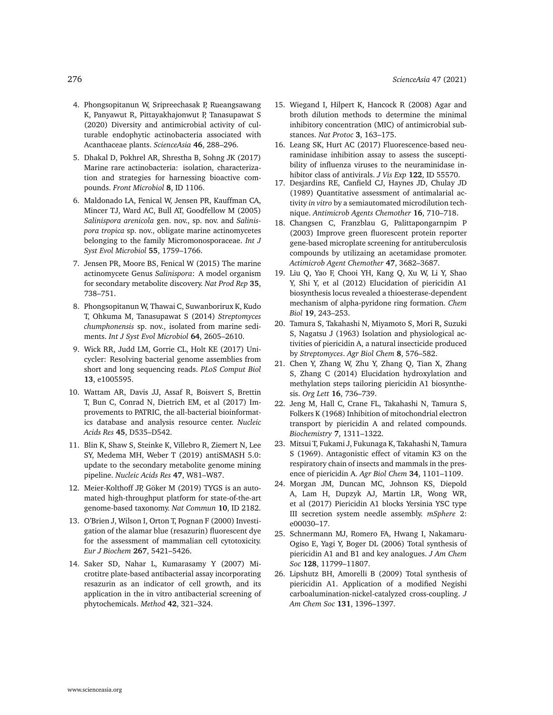- <span id="page-5-0"></span>4. [Phongsopitanun W, Sripreechasak P, Rueangsawang](http://dx.doi.org/10.2306/scienceasia1513-1874.2020.036) [K, Panyawut R, Pittayakhajonwut P, Tanasupawat S](http://dx.doi.org/10.2306/scienceasia1513-1874.2020.036) [\(2020\) Diversity and antimicrobial activity of cul](http://dx.doi.org/10.2306/scienceasia1513-1874.2020.036)[turable endophytic actinobacteria associated with](http://dx.doi.org/10.2306/scienceasia1513-1874.2020.036) [Acanthaceae plants.](http://dx.doi.org/10.2306/scienceasia1513-1874.2020.036) *ScienceAsia* **46**, 288–296.
- <span id="page-5-1"></span>5. [Dhakal D, Pokhrel AR, Shrestha B, Sohng JK \(2017\)](http://dx.doi.org/10.3389/fmicb.2017.01106) [Marine rare actinobacteria: isolation, characteriza](http://dx.doi.org/10.3389/fmicb.2017.01106)[tion and strategies for harnessing bioactive com](http://dx.doi.org/10.3389/fmicb.2017.01106)pounds. *[Front Microbiol](http://dx.doi.org/10.3389/fmicb.2017.01106)* **8**, ID 1106.
- <span id="page-5-2"></span>6. [Maldonado LA, Fenical W, Jensen PR, Kauffman CA,](http://dx.doi.org/10.1099/ijs.0.63625-0) [Mincer TJ, Ward AC, Bull AT, Goodfellow M \(2005\)](http://dx.doi.org/10.1099/ijs.0.63625-0) *Salinispora arenicola* [gen. nov., sp. nov. and](http://dx.doi.org/10.1099/ijs.0.63625-0) *Salinispora tropica* [sp. nov., obligate marine actinomycetes](http://dx.doi.org/10.1099/ijs.0.63625-0) [belonging to the family Micromonosporaceae.](http://dx.doi.org/10.1099/ijs.0.63625-0) *Int J [Syst Evol Microbiol](http://dx.doi.org/10.1099/ijs.0.63625-0)* **55**, 1759–1766.
- <span id="page-5-3"></span>7. [Jensen PR, Moore BS, Fenical W \(2015\) The marine](http://dx.doi.org/10.1039/C4NP00167B) actinomycete Genus *Salinispora*[: A model organism](http://dx.doi.org/10.1039/C4NP00167B) [for secondary metabolite discovery.](http://dx.doi.org/10.1039/C4NP00167B) *Nat Prod Rep* **35**, [738–751.](http://dx.doi.org/10.1039/C4NP00167B)
- <span id="page-5-4"></span>8. [Phongsopitanun W, Thawai C, Suwanborirux K, Kudo](http://dx.doi.org/10.1099/ijs.0.062992-0) [T, Ohkuma M, Tanasupawat S \(2014\)](http://dx.doi.org/10.1099/ijs.0.062992-0) *Streptomyces chumphonensis* [sp. nov., isolated from marine sedi](http://dx.doi.org/10.1099/ijs.0.062992-0)ments. *[Int J Syst Evol Microbiol](http://dx.doi.org/10.1099/ijs.0.062992-0)* **64**, 2605–2610.
- <span id="page-5-5"></span>9. [Wick RR, Judd LM, Gorrie CL, Holt KE \(2017\) Uni](http://dx.doi.org/10.1371/journal.pcbi.1005595)[cycler: Resolving bacterial genome assemblies from](http://dx.doi.org/10.1371/journal.pcbi.1005595) [short and long sequencing reads.](http://dx.doi.org/10.1371/journal.pcbi.1005595) *PLoS Comput Biol* **13**[, e1005595.](http://dx.doi.org/10.1371/journal.pcbi.1005595)
- <span id="page-5-6"></span>10. [Wattam AR, Davis JJ, Assaf R, Boisvert S, Brettin](http://dx.doi.org/10.1093/nar/gkw1017) [T, Bun C, Conrad N, Dietrich EM, et al \(2017\) Im](http://dx.doi.org/10.1093/nar/gkw1017)[provements to PATRIC, the all-bacterial bioinformat](http://dx.doi.org/10.1093/nar/gkw1017)[ics database and analysis resource center.](http://dx.doi.org/10.1093/nar/gkw1017) *Nucleic Acids Res* **45**[, D535–D542.](http://dx.doi.org/10.1093/nar/gkw1017)
- <span id="page-5-7"></span>11. [Blin K, Shaw S, Steinke K, Villebro R, Ziemert N, Lee](http://dx.doi.org/10.1093/nar/gkz310) [SY, Medema MH, Weber T \(2019\) antiSMASH 5.0:](http://dx.doi.org/10.1093/nar/gkz310) [update to the secondary metabolite genome mining](http://dx.doi.org/10.1093/nar/gkz310) pipeline. *[Nucleic Acids Res](http://dx.doi.org/10.1093/nar/gkz310)* **47**, W81–W87.
- <span id="page-5-8"></span>12. [Meier-Kolthoff JP, Göker M \(2019\) TYGS is an auto](http://dx.doi.org/10.1038/s41467-019-10210-3)[mated high-throughput platform for state-of-the-art](http://dx.doi.org/10.1038/s41467-019-10210-3) [genome-based taxonomy.](http://dx.doi.org/10.1038/s41467-019-10210-3) *Nat Commun* **10**, ID 2182.
- <span id="page-5-9"></span>13. [O'Brien J, Wilson I, Orton T, Pognan F \(2000\) Investi](http://dx.doi.org/10.1046/j.1432-1327.2000.01606.x)[gation of the alamar blue \(resazurin\) fluorescent dye](http://dx.doi.org/10.1046/j.1432-1327.2000.01606.x) [for the assessment of mammalian cell cytotoxicity.](http://dx.doi.org/10.1046/j.1432-1327.2000.01606.x) *[Eur J Biochem](http://dx.doi.org/10.1046/j.1432-1327.2000.01606.x)* **267**, 5421–5426.
- <span id="page-5-10"></span>14. [Saker SD, Nahar L, Kumarasamy Y \(2007\) Mi](http://dx.doi.org/10.1016/j.ymeth.2007.01.006)[crotitre plate-based antibacterial assay incorporating](http://dx.doi.org/10.1016/j.ymeth.2007.01.006) [resazurin as an indicator of cell growth, and its](http://dx.doi.org/10.1016/j.ymeth.2007.01.006) [application in the in vitro antibacterial screening of](http://dx.doi.org/10.1016/j.ymeth.2007.01.006) [phytochemicals.](http://dx.doi.org/10.1016/j.ymeth.2007.01.006) *Method* **42**, 321–324.
- <span id="page-5-11"></span>15. [Wiegand I, Hilpert K, Hancock R \(2008\) Agar and](http://dx.doi.org/10.1038/nprot.2007.521) [broth dilution methods to determine the minimal](http://dx.doi.org/10.1038/nprot.2007.521) [inhibitory concentration \(MIC\) of antimicrobial sub](http://dx.doi.org/10.1038/nprot.2007.521)stances. *Nat Protoc* **3**[, 163–175.](http://dx.doi.org/10.1038/nprot.2007.521)
- <span id="page-5-12"></span>16. [Leang SK, Hurt AC \(2017\) Fluorescence-based neu](http://dx.doi.org/10.3791/55570)[raminidase inhibition assay to assess the suscepti](http://dx.doi.org/10.3791/55570)[bility of influenza viruses to the neuraminidase in](http://dx.doi.org/10.3791/55570)[hibitor class of antivirals.](http://dx.doi.org/10.3791/55570) *J Vis Exp* **122**, ID 55570.
- <span id="page-5-13"></span>17. [Desjardins RE, Canfield CJ, Haynes JD, Chulay JD](http://dx.doi.org/10.1128/AAC.16.6.710) [\(1989\) Quantitative assessment of antimalarial ac](http://dx.doi.org/10.1128/AAC.16.6.710)tivity *in vitro* [by a semiautomated microdilution tech](http://dx.doi.org/10.1128/AAC.16.6.710)nique. *[Antimicrob Agents Chemother](http://dx.doi.org/10.1128/AAC.16.6.710)* **16**, 710–718.
- <span id="page-5-14"></span>18. [Changsen C, Franzblau G, Palittapongarnpim P](http://dx.doi.org/10.1128/AAC.47.12.3682-3687.2003) [\(2003\) Improve green fluorescent protein reporter](http://dx.doi.org/10.1128/AAC.47.12.3682-3687.2003) [gene-based microplate screening for antituberculosis](http://dx.doi.org/10.1128/AAC.47.12.3682-3687.2003) [compounds by utilizaing an acetamidase promoter.](http://dx.doi.org/10.1128/AAC.47.12.3682-3687.2003) *[Actimicrob Agent Chemother](http://dx.doi.org/10.1128/AAC.47.12.3682-3687.2003)* **47**, 3682–3687.
- <span id="page-5-15"></span>19. [Liu Q, Yao F, Chooi YH, Kang Q, Xu W, Li Y, Shao](http://dx.doi.org/10.1016/j.chembiol.2011.12.018) [Y, Shi Y, et al \(2012\) Elucidation of piericidin A1](http://dx.doi.org/10.1016/j.chembiol.2011.12.018) [biosynthesis locus revealed a thioesterase-dependent](http://dx.doi.org/10.1016/j.chembiol.2011.12.018) [mechanism of alpha-pyridone ring formation.](http://dx.doi.org/10.1016/j.chembiol.2011.12.018) *Chem Biol* **19**[, 243–253.](http://dx.doi.org/10.1016/j.chembiol.2011.12.018)
- <span id="page-5-16"></span>20. [Tamura S, Takahashi N, Miyamoto S, Mori R, Suzuki](http://dx.doi.org/10.1080/00021369.1963.10858144) [S, Nagatsu J \(1963\) Isolation and physiological ac](http://dx.doi.org/10.1080/00021369.1963.10858144)[tivities of piericidin A, a natural insecticide produced](http://dx.doi.org/10.1080/00021369.1963.10858144) by *Streptomyces*. *[Agr Biol Chem](http://dx.doi.org/10.1080/00021369.1963.10858144)* **8**, 576–582.
- <span id="page-5-17"></span>21. [Chen Y, Zhang W, Zhu Y, Zhang Q, Tian X, Zhang](http://dx.doi.org/10.1021/ol4034176) [S, Zhang C \(2014\) Elucidation hydroxylation and](http://dx.doi.org/10.1021/ol4034176) [methylation steps tailoring piericidin A1 biosynthe](http://dx.doi.org/10.1021/ol4034176)sis. *Org Lett* **16**[, 736–739.](http://dx.doi.org/10.1021/ol4034176)
- <span id="page-5-18"></span>22. [Jeng M, Hall C, Crane FL, Takahashi N, Tamura S,](http://dx.doi.org/10.1021/bi00844a010) [Folkers K \(1968\) Inhibition of mitochondrial electron](http://dx.doi.org/10.1021/bi00844a010) [transport by piericidin A and related compounds.](http://dx.doi.org/10.1021/bi00844a010) *Biochemistry* **7**[, 1311–1322.](http://dx.doi.org/10.1021/bi00844a010)
- <span id="page-5-19"></span>23. [Mitsui T, Fukami J, Fukunaga K, Takahashi N, Tamura](http://dx.doi.org/10.1271/bbb1961.34.1101) [S \(1969\). Antagonistic effect of vitamin K3 on the](http://dx.doi.org/10.1271/bbb1961.34.1101) [respiratory chain of insects and mammals in the pres](http://dx.doi.org/10.1271/bbb1961.34.1101)[ence of piericidin A.](http://dx.doi.org/10.1271/bbb1961.34.1101) *Agr Biol Chem* **34**, 1101–1109.
- <span id="page-5-20"></span>24. [Morgan JM, Duncan MC, Johnson KS, Diepold](http://dx.doi.org/10.1128/mSphere.00030-17) [A, Lam H, Dupzyk AJ, Martin LR, Wong WR,](http://dx.doi.org/10.1128/mSphere.00030-17) [et al \(2017\) Piericidin A1 blocks Yersinia YSC type](http://dx.doi.org/10.1128/mSphere.00030-17) [III secretion system needle assembly.](http://dx.doi.org/10.1128/mSphere.00030-17) *mSphere* 2: [e00030–17.](http://dx.doi.org/10.1128/mSphere.00030-17)
- <span id="page-5-21"></span>25. [Schnermann MJ, Romero FA, Hwang I, Nakamaru-](http://dx.doi.org/10.1021/ja0632862)[Ogiso E, Yagi Y, Boger DL \(2006\) Total synthesis of](http://dx.doi.org/10.1021/ja0632862) [piericidin A1 and B1 and key analogues.](http://dx.doi.org/10.1021/ja0632862) *J Am Chem Soc* **128**[, 11799–11807.](http://dx.doi.org/10.1021/ja0632862)
- <span id="page-5-22"></span>26. [Lipshutz BH, Amorelli B \(2009\) Total synthesis of](http://dx.doi.org/10.1021/ja809542r) [piericidin A1. Application of a modified Negishi](http://dx.doi.org/10.1021/ja809542r) [carboalumination-nickel-catalyzed cross-coupling.](http://dx.doi.org/10.1021/ja809542r) *J [Am Chem Soc](http://dx.doi.org/10.1021/ja809542r)* **131**, 1396–1397.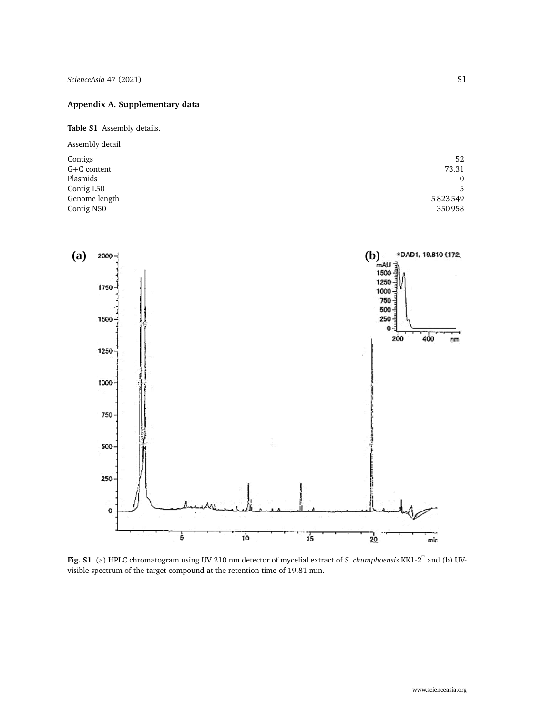# **Appendix A. Supplementary data**

**Table S1** Assembly details.

| Assembly detail |              |  |
|-----------------|--------------|--|
| Contigs         | 52           |  |
| G+C content     | 73.31        |  |
| Plasmids        | $\mathbf{0}$ |  |
| Contig L50      | 5            |  |
| Genome length   | 5823549      |  |
| Contig N50      | 350958       |  |

<span id="page-6-0"></span>

**Fig. S1** (a) HPLC chromatogram using UV 210 nm detector of mycelial extract of *S. chumphoensis* KK1-2<sup>T</sup> and (b) UVvisible spectrum of the target compound at the retention time of 19.81 min.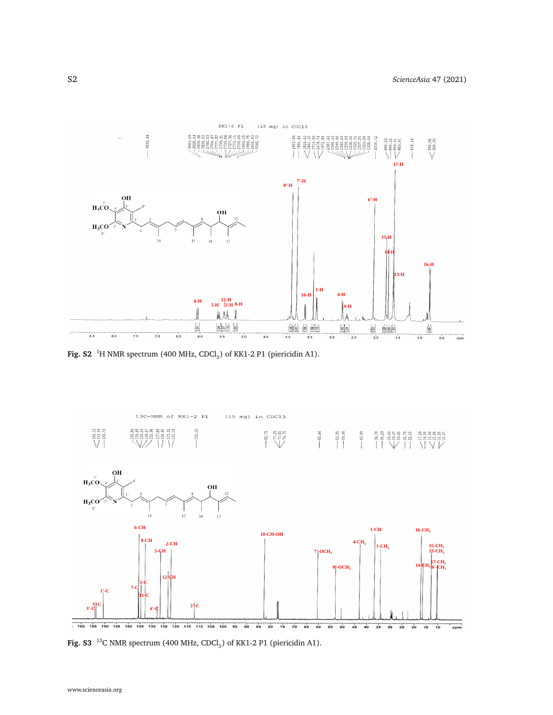<span id="page-7-0"></span>

**Fig. S2** <sup>1</sup>H NMR spectrum (400 MHz, CDCl<sub>3</sub>) of KK1-2 P1 (piericidin A1).

<span id="page-7-1"></span>

**Fig. S3** <sup>13</sup>C NMR spectrum (400 MHz, CDCl<sub>3</sub>) of KK1-2 P1 (piericidin A1).